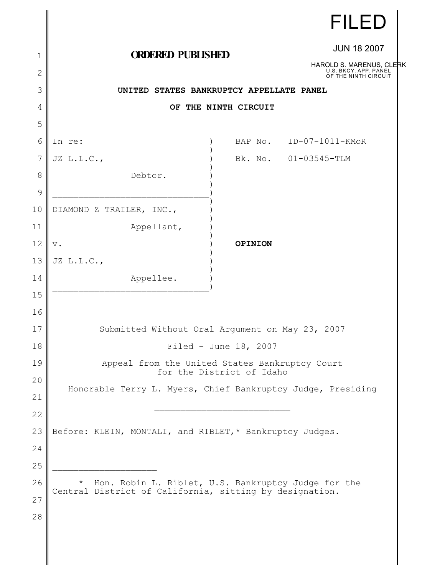|                |                                                                             |                       | <b>FILED</b>                                                              |  |
|----------------|-----------------------------------------------------------------------------|-----------------------|---------------------------------------------------------------------------|--|
| $\mathbf 1$    | <b>ORDERED PUBLISHED</b>                                                    |                       | <b>JUN 18 2007</b>                                                        |  |
| $\overline{2}$ |                                                                             |                       | HAROLD S. MARENUS, CLERK<br>U.S. BKCY. APP. PANEL<br>OF THE NINTH CIRCUIT |  |
| 3              | UNITED STATES BANKRUPTCY APPELLATE PANEL                                    |                       |                                                                           |  |
| 4              |                                                                             | OF THE NINTH CIRCUIT  |                                                                           |  |
| 5              |                                                                             |                       |                                                                           |  |
| 6              | In re:                                                                      |                       | BAP No. ID-07-1011-KMoR                                                   |  |
| 7              | JZ L.L.C.,                                                                  |                       | Bk. No. 01-03545-TLM                                                      |  |
| 8              | Debtor.                                                                     |                       |                                                                           |  |
| 9              |                                                                             |                       |                                                                           |  |
| 10             | DIAMOND Z TRAILER, INC.,                                                    |                       |                                                                           |  |
| 11             | Appellant,                                                                  |                       |                                                                           |  |
| 12             | $\mathbf v$ .                                                               | OPINION               |                                                                           |  |
| 13             | $JZ$ $L.L.C.,$                                                              |                       |                                                                           |  |
| 14             | Appellee.                                                                   |                       |                                                                           |  |
| 15             |                                                                             |                       |                                                                           |  |
| 16             |                                                                             |                       |                                                                           |  |
| 17             | Submitted Without Oral Argument on May 23, 2007                             |                       |                                                                           |  |
| 18             |                                                                             | Filed - June 18, 2007 |                                                                           |  |
| 19             | Appeal from the United States Bankruptcy Court<br>for the District of Idaho |                       |                                                                           |  |
| 20             | Honorable Terry L. Myers, Chief Bankruptcy Judge, Presiding                 |                       |                                                                           |  |
| 21<br>22       |                                                                             |                       |                                                                           |  |
| 23             | Before: KLEIN, MONTALI, and RIBLET,* Bankruptcy Judges.                     |                       |                                                                           |  |
| 24             |                                                                             |                       |                                                                           |  |
| 25             |                                                                             |                       |                                                                           |  |
| 26             | Hon. Robin L. Riblet, U.S. Bankruptcy Judge for the<br>$\star$              |                       |                                                                           |  |
| 27             | Central District of California, sitting by designation.                     |                       |                                                                           |  |
| 28             |                                                                             |                       |                                                                           |  |
|                |                                                                             |                       |                                                                           |  |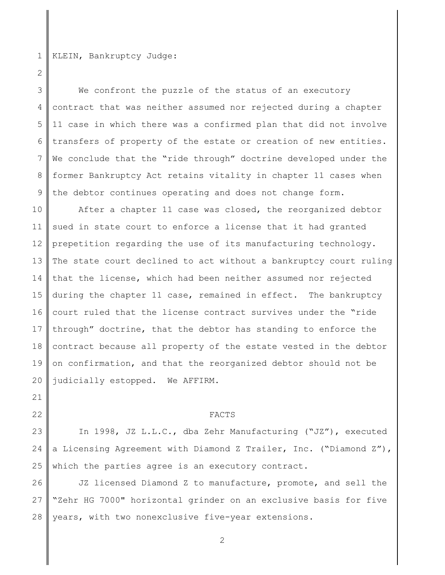1 KLEIN, Bankruptcy Judge:

2

21

22

3 4 5 6 7 8 9 We confront the puzzle of the status of an executory contract that was neither assumed nor rejected during a chapter 11 case in which there was a confirmed plan that did not involve transfers of property of the estate or creation of new entities. We conclude that the "ride through" doctrine developed under the former Bankruptcy Act retains vitality in chapter 11 cases when the debtor continues operating and does not change form.

10 11 12 13 14 15 16 17 18 19 20 After a chapter 11 case was closed, the reorganized debtor sued in state court to enforce a license that it had granted prepetition regarding the use of its manufacturing technology. The state court declined to act without a bankruptcy court ruling that the license, which had been neither assumed nor rejected during the chapter 11 case, remained in effect. The bankruptcy court ruled that the license contract survives under the "ride through" doctrine, that the debtor has standing to enforce the contract because all property of the estate vested in the debtor on confirmation, and that the reorganized debtor should not be judicially estopped. We AFFIRM.

## FACTS

23 24 25 In 1998, JZ L.L.C., dba Zehr Manufacturing ("JZ"), executed a Licensing Agreement with Diamond Z Trailer, Inc. ("Diamond Z"), which the parties agree is an executory contract.

26 27 28 JZ licensed Diamond Z to manufacture, promote, and sell the "Zehr HG 7000" horizontal grinder on an exclusive basis for five years, with two nonexclusive five-year extensions.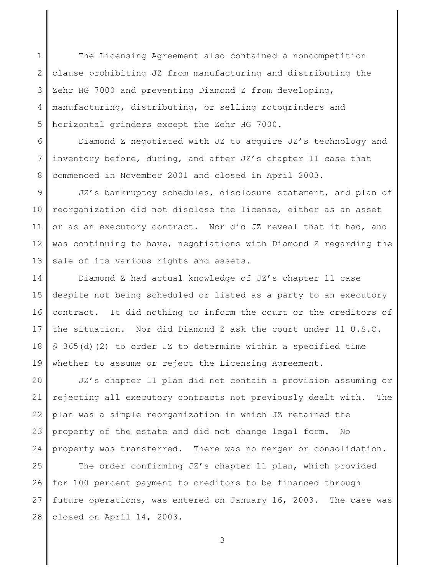1 2 3 4 5 The Licensing Agreement also contained a noncompetition clause prohibiting JZ from manufacturing and distributing the Zehr HG 7000 and preventing Diamond Z from developing, manufacturing, distributing, or selling rotogrinders and horizontal grinders except the Zehr HG 7000.

6 7 8 Diamond Z negotiated with JZ to acquire JZ's technology and inventory before, during, and after JZ's chapter 11 case that commenced in November 2001 and closed in April 2003.

9 10 11 12 13 JZ's bankruptcy schedules, disclosure statement, and plan of reorganization did not disclose the license, either as an asset or as an executory contract. Nor did JZ reveal that it had, and was continuing to have, negotiations with Diamond Z regarding the sale of its various rights and assets.

14 15 16 17 18 19 Diamond Z had actual knowledge of JZ's chapter 11 case despite not being scheduled or listed as a party to an executory contract. It did nothing to inform the court or the creditors of the situation. Nor did Diamond Z ask the court under 11 U.S.C. § 365(d)(2) to order JZ to determine within a specified time whether to assume or reject the Licensing Agreement.

20 21 22 23 24 JZ's chapter 11 plan did not contain a provision assuming or rejecting all executory contracts not previously dealt with. The plan was a simple reorganization in which JZ retained the property of the estate and did not change legal form. No property was transferred. There was no merger or consolidation.

25 26 27 28 The order confirming JZ's chapter 11 plan, which provided for 100 percent payment to creditors to be financed through future operations, was entered on January 16, 2003. The case was closed on April 14, 2003.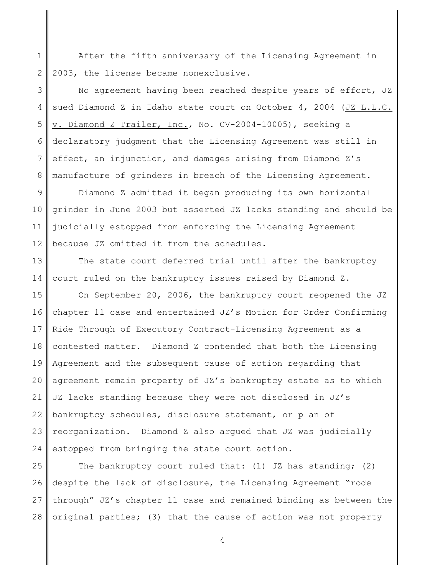1 2 After the fifth anniversary of the Licensing Agreement in 2003, the license became nonexclusive.

3 4 5 6 7 8 No agreement having been reached despite years of effort, JZ sued Diamond Z in Idaho state court on October 4, 2004 (JZ L.L.C. v. Diamond Z Trailer, Inc., No. CV-2004-10005), seeking a declaratory judgment that the Licensing Agreement was still in effect, an injunction, and damages arising from Diamond Z's manufacture of grinders in breach of the Licensing Agreement.

9 10 11 12 Diamond Z admitted it began producing its own horizontal grinder in June 2003 but asserted JZ lacks standing and should be judicially estopped from enforcing the Licensing Agreement because JZ omitted it from the schedules.

13 14 The state court deferred trial until after the bankruptcy court ruled on the bankruptcy issues raised by Diamond Z.

15 16 17 18 19 20 21 22 23 24 On September 20, 2006, the bankruptcy court reopened the JZ chapter 11 case and entertained JZ's Motion for Order Confirming Ride Through of Executory Contract-Licensing Agreement as a contested matter. Diamond Z contended that both the Licensing Agreement and the subsequent cause of action regarding that agreement remain property of JZ's bankruptcy estate as to which JZ lacks standing because they were not disclosed in JZ's bankruptcy schedules, disclosure statement, or plan of reorganization. Diamond Z also argued that JZ was judicially estopped from bringing the state court action.

25 26 27 28 The bankruptcy court ruled that: (1) JZ has standing; (2) despite the lack of disclosure, the Licensing Agreement "rode through" JZ's chapter 11 case and remained binding as between the original parties; (3) that the cause of action was not property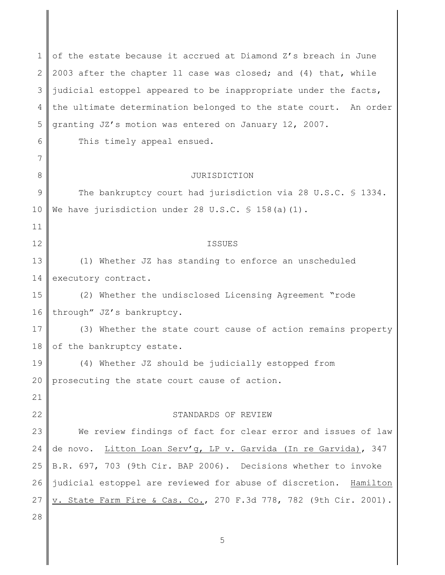1 2 3 4 5 6 7 8 9 10 11 12 13 14 15 16 17 18 19 20 21 22 23 24 25 26 27 28 of the estate because it accrued at Diamond Z's breach in June 2003 after the chapter 11 case was closed; and (4) that, while judicial estoppel appeared to be inappropriate under the facts, the ultimate determination belonged to the state court. An order granting JZ's motion was entered on January 12, 2007. This timely appeal ensued. JURISDICTION The bankruptcy court had jurisdiction via 28 U.S.C. § 1334. We have jurisdiction under 28 U.S.C.  $\frac{1}{5}$  158(a)(1). ISSUES (1) Whether JZ has standing to enforce an unscheduled executory contract. (2) Whether the undisclosed Licensing Agreement "rode through" JZ's bankruptcy. (3) Whether the state court cause of action remains property of the bankruptcy estate. (4) Whether JZ should be judicially estopped from prosecuting the state court cause of action. STANDARDS OF REVIEW We review findings of fact for clear error and issues of law de novo. Litton Loan Serv'g, LP v. Garvida (In re Garvida), 347 B.R. 697, 703 (9th Cir. BAP 2006). Decisions whether to invoke judicial estoppel are reviewed for abuse of discretion. Hamilton v. State Farm Fire & Cas. Co., 270 F.3d 778, 782 (9th Cir. 2001).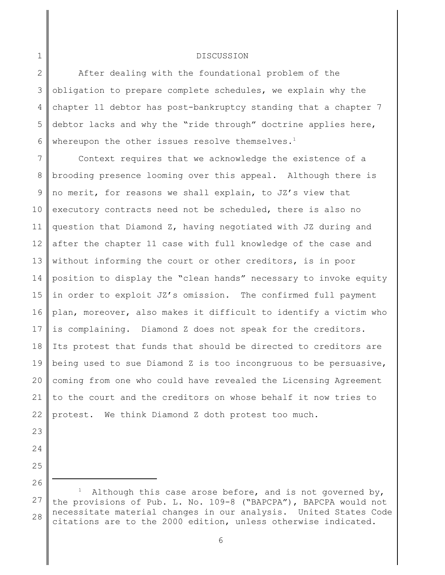## DISCUSSION

2 3 4 5 6 After dealing with the foundational problem of the obligation to prepare complete schedules, we explain why the chapter 11 debtor has post-bankruptcy standing that a chapter 7 debtor lacks and why the "ride through" doctrine applies here, whereupon the other issues resolve themselves.<sup>1</sup>

7 8 9 10 11 12 13 14 15 16 17 18 19 20 21 22 Context requires that we acknowledge the existence of a brooding presence looming over this appeal. Although there is no merit, for reasons we shall explain, to JZ's view that executory contracts need not be scheduled, there is also no question that Diamond Z, having negotiated with JZ during and after the chapter 11 case with full knowledge of the case and without informing the court or other creditors, is in poor position to display the "clean hands" necessary to invoke equity in order to exploit JZ's omission. The confirmed full payment plan, moreover, also makes it difficult to identify a victim who is complaining. Diamond Z does not speak for the creditors. Its protest that funds that should be directed to creditors are being used to sue Diamond Z is too incongruous to be persuasive, coming from one who could have revealed the Licensing Agreement to the court and the creditors on whose behalf it now tries to protest. We think Diamond Z doth protest too much.

23

1

- 24
- 25

26

<sup>27</sup> 28 Although this case arose before, and is not governed by, the provisions of Pub. L. No. 109-8 ("BAPCPA"), BAPCPA would not necessitate material changes in our analysis. United States Code citations are to the 2000 edition, unless otherwise indicated.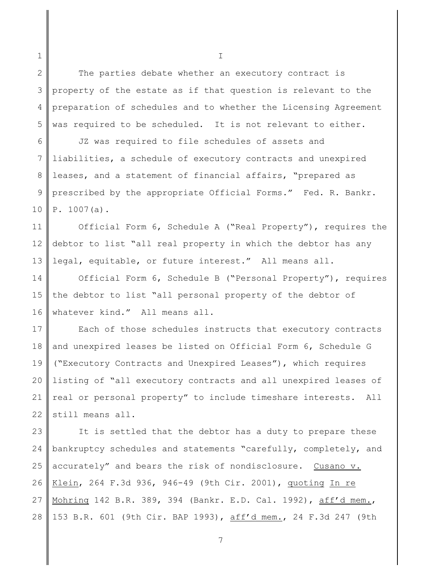2 3 4 5 The parties debate whether an executory contract is property of the estate as if that question is relevant to the preparation of schedules and to whether the Licensing Agreement was required to be scheduled. It is not relevant to either.

1

6 7 8 9 10 JZ was required to file schedules of assets and liabilities, a schedule of executory contracts and unexpired leases, and a statement of financial affairs, "prepared as prescribed by the appropriate Official Forms." Fed. R. Bankr. P. 1007(a).

11 12 13 Official Form 6, Schedule A ("Real Property"), requires the debtor to list "all real property in which the debtor has any legal, equitable, or future interest." All means all.

14 15 16 Official Form 6, Schedule B ("Personal Property"), requires the debtor to list "all personal property of the debtor of whatever kind." All means all.

17 18 19 20 21 22 Each of those schedules instructs that executory contracts and unexpired leases be listed on Official Form 6, Schedule G ("Executory Contracts and Unexpired Leases"), which requires listing of "all executory contracts and all unexpired leases of real or personal property" to include timeshare interests. All still means all.

23 24 25 26 27 28 It is settled that the debtor has a duty to prepare these bankruptcy schedules and statements "carefully, completely, and accurately" and bears the risk of nondisclosure. Cusano v. Klein, 264 F.3d 936, 946-49 (9th Cir. 2001), quoting In re Mohring 142 B.R. 389, 394 (Bankr. E.D. Cal. 1992), aff'd mem., 153 B.R. 601 (9th Cir. BAP 1993), aff'd mem., 24 F.3d 247 (9th

I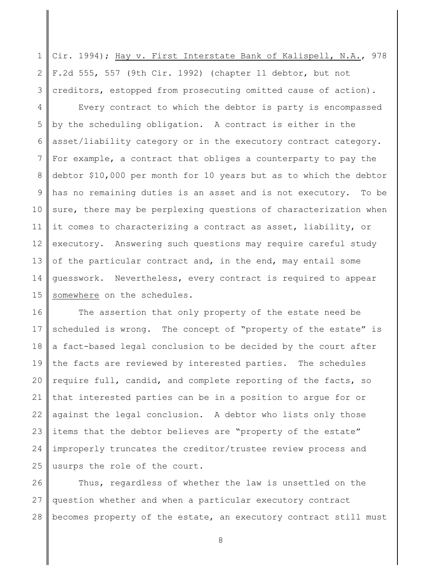1 2 3 Cir. 1994); Hay v. First Interstate Bank of Kalispell, N.A., 978 F.2d 555, 557 (9th Cir. 1992) (chapter 11 debtor, but not creditors, estopped from prosecuting omitted cause of action).

4 5 6 7 8 9 10 11 12 13 14 15 Every contract to which the debtor is party is encompassed by the scheduling obligation. A contract is either in the asset/liability category or in the executory contract category. For example, a contract that obliges a counterparty to pay the debtor \$10,000 per month for 10 years but as to which the debtor has no remaining duties is an asset and is not executory. To be sure, there may be perplexing questions of characterization when it comes to characterizing a contract as asset, liability, or executory. Answering such questions may require careful study of the particular contract and, in the end, may entail some guesswork. Nevertheless, every contract is required to appear somewhere on the schedules.

16 17 18 19 20 21 22 23 24 25 The assertion that only property of the estate need be scheduled is wrong. The concept of "property of the estate" is a fact-based legal conclusion to be decided by the court after the facts are reviewed by interested parties. The schedules require full, candid, and complete reporting of the facts, so that interested parties can be in a position to argue for or against the legal conclusion. A debtor who lists only those items that the debtor believes are "property of the estate" improperly truncates the creditor/trustee review process and usurps the role of the court.

26 27 28 Thus, regardless of whether the law is unsettled on the question whether and when a particular executory contract becomes property of the estate, an executory contract still must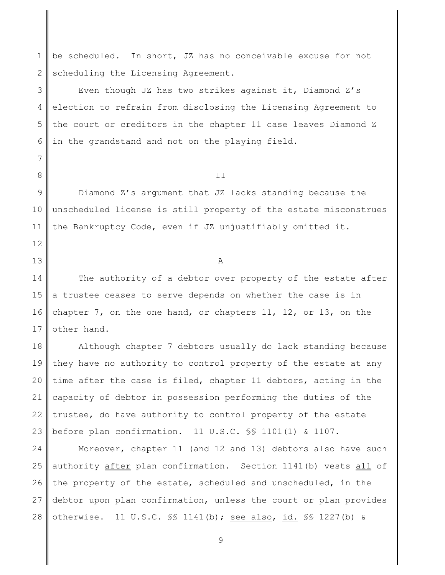1 2 be scheduled. In short, JZ has no conceivable excuse for not scheduling the Licensing Agreement.

3 4 5 6 Even though JZ has two strikes against it, Diamond Z's election to refrain from disclosing the Licensing Agreement to the court or creditors in the chapter 11 case leaves Diamond Z in the grandstand and not on the playing field.

7

8

12

13

II

9 10 11 Diamond Z's argument that JZ lacks standing because the unscheduled license is still property of the estate misconstrues the Bankruptcy Code, even if JZ unjustifiably omitted it.

A

14 15 16 17 The authority of a debtor over property of the estate after a trustee ceases to serve depends on whether the case is in chapter 7, on the one hand, or chapters 11, 12, or 13, on the other hand.

18 19 20 21 22 23 Although chapter 7 debtors usually do lack standing because they have no authority to control property of the estate at any time after the case is filed, chapter 11 debtors, acting in the capacity of debtor in possession performing the duties of the trustee, do have authority to control property of the estate before plan confirmation. 11 U.S.C. §§ 1101(1) & 1107.

24 25 26 27 28 Moreover, chapter 11 (and 12 and 13) debtors also have such authority after plan confirmation. Section 1141(b) vests all of the property of the estate, scheduled and unscheduled, in the debtor upon plan confirmation, unless the court or plan provides otherwise. 11 U.S.C. §§ 1141(b); see also, id. §§ 1227(b) &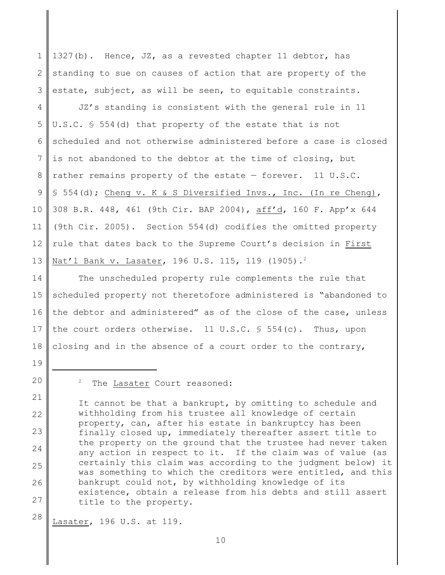1 2 3 1327(b). Hence, JZ, as a revested chapter 11 debtor, has standing to sue on causes of action that are property of the estate, subject, as will be seen, to equitable constraints.

4 5 6 7 8 9 10 11 12 13 JZ's standing is consistent with the general rule in 11 U.S.C. § 554(d) that property of the estate that is not scheduled and not otherwise administered before a case is closed is not abandoned to the debtor at the time of closing, but rather remains property of the estate — forever. 11 U.S.C. § 554(d); Cheng v. K & S Diversified Invs., Inc. (In re Cheng), 308 B.R. 448, 461 (9th Cir. BAP 2004), aff'd, 160 F. App'x 644 (9th Cir. 2005). Section 554(d) codifies the omitted property rule that dates back to the Supreme Court's decision in First Nat'l Bank v. Lasater, 196 U.S. 115, 119 (1905).<sup>2</sup>

14 15 16 17 18 The unscheduled property rule complements the rule that scheduled property not theretofore administered is "abandoned to the debtor and administered" as of the close of the case, unless the court orders otherwise. 11 U.S.C. § 554(c). Thus, upon closing and in the absence of a court order to the contrary,

19

20

21

The Lasater Court reasoned:

22 23 24 25 26 27 It cannot be that a bankrupt, by omitting to schedule and withholding from his trustee all knowledge of certain property, can, after his estate in bankruptcy has been finally closed up, immediately thereafter assert title to the property on the ground that the trustee had never taken any action in respect to it. If the claim was of value (as certainly this claim was according to the judgment below) it was something to which the creditors were entitled, and this bankrupt could not, by withholding knowledge of its existence, obtain a release from his debts and still assert title to the property.

28 Lasater, 196 U.S. at 119.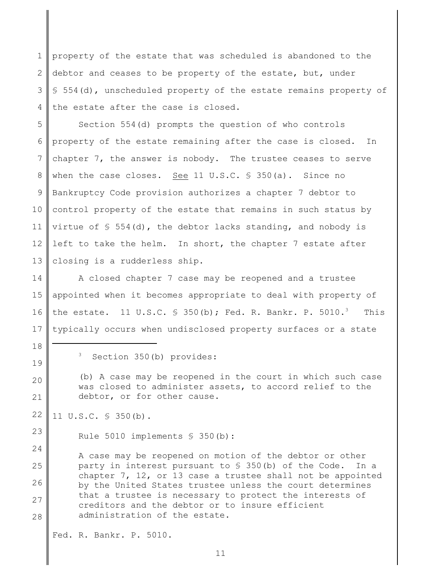1 2 3 4 property of the estate that was scheduled is abandoned to the debtor and ceases to be property of the estate, but, under § 554(d), unscheduled property of the estate remains property of the estate after the case is closed.

5 6 7 8 9 10 11 12 13 Section 554(d) prompts the question of who controls property of the estate remaining after the case is closed. In chapter 7, the answer is nobody. The trustee ceases to serve when the case closes. See 11 U.S.C. § 350(a). Since no Bankruptcy Code provision authorizes a chapter 7 debtor to control property of the estate that remains in such status by virtue of  $\S$  554(d), the debtor lacks standing, and nobody is left to take the helm. In short, the chapter 7 estate after closing is a rudderless ship.

14 15 16 17 A closed chapter 7 case may be reopened and a trustee appointed when it becomes appropriate to deal with property of the estate. 11 U.S.C.  $\frac{1}{5}$  350(b); Fed. R. Bankr. P. 5010.<sup>3</sup> This typically occurs when undisclosed property surfaces or a state

18

19

20

21

24

 $3$  Section 350(b) provides:

(b) A case may be reopened in the court in which such case was closed to administer assets, to accord relief to the debtor, or for other cause.

22 11 U.S.C. § 350(b).

23 Rule 5010 implements § 350(b):

25 26 27 28 A case may be reopened on motion of the debtor or other party in interest pursuant to § 350(b) of the Code. In a chapter 7, 12, or 13 case a trustee shall not be appointed by the United States trustee unless the court determines that a trustee is necessary to protect the interests of creditors and the debtor or to insure efficient administration of the estate.

Fed. R. Bankr. P. 5010.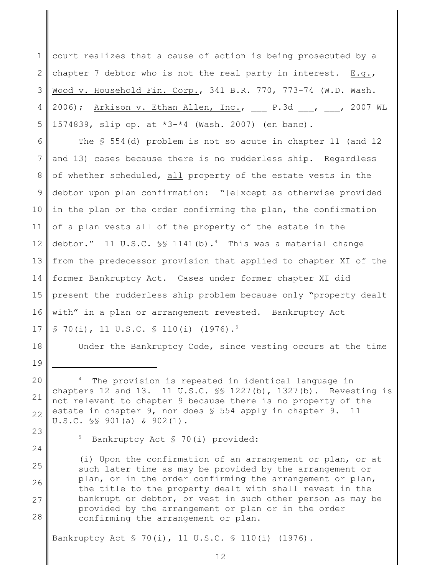1 2 3 4 5 court realizes that a cause of action is being prosecuted by a chapter 7 debtor who is not the real party in interest.  $E.q.,$ Wood v. Household Fin. Corp., 341 B.R. 770, 773-74 (W.D. Wash. 2006); Arkison v. Ethan Allen, Inc., P.3d , , 2007 WL 1574839, slip op. at \*3-\*4 (Wash. 2007) (en banc).

6 7 8 9 10 11 12 13 14 15 16 17 The § 554(d) problem is not so acute in chapter 11 (and 12 and 13) cases because there is no rudderless ship. Regardless of whether scheduled, all property of the estate vests in the debtor upon plan confirmation: "[e]xcept as otherwise provided in the plan or the order confirming the plan, the confirmation of a plan vests all of the property of the estate in the debtor." 11 U.S.C.  $\frac{15}{1141(b)}$ . This was a material change from the predecessor provision that applied to chapter XI of the former Bankruptcy Act. Cases under former chapter XI did present the rudderless ship problem because only "property dealt with" in a plan or arrangement revested. Bankruptcy Act  $\S$  70(i), 11 U.S.C.  $\S$  110(i) (1976).<sup>5</sup>

18 19

23

24

Under the Bankruptcy Code, since vesting occurs at the time

 $5$  Bankruptcy Act  $$ 70(i)$  provided:

25 26 27 28 (i) Upon the confirmation of an arrangement or plan, or at such later time as may be provided by the arrangement or plan, or in the order confirming the arrangement or plan, the title to the property dealt with shall revest in the bankrupt or debtor, or vest in such other person as may be provided by the arrangement or plan or in the order confirming the arrangement or plan.

Bankruptcy Act § 70(i), 11 U.S.C. § 110(i) (1976).

<sup>20</sup> 21 22  $4$  The provision is repeated in identical language in chapters 12 and 13. 11 U.S.C. §§ 1227(b), 1327(b). Revesting is not relevant to chapter 9 because there is no property of the estate in chapter 9, nor does § 554 apply in chapter 9. 11 U.S.C. §§ 901(a) & 902(1).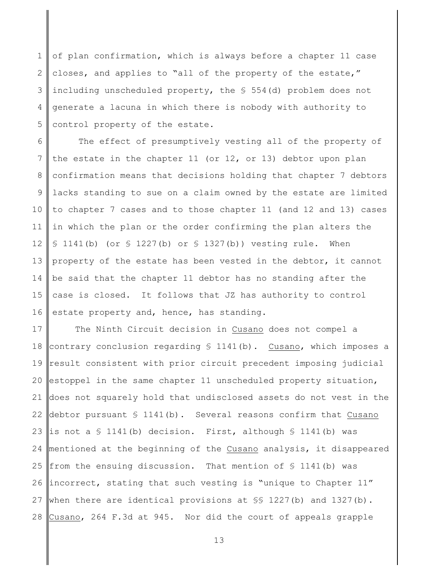1 2 3 4 5 of plan confirmation, which is always before a chapter 11 case closes, and applies to "all of the property of the estate," including unscheduled property, the § 554(d) problem does not generate a lacuna in which there is nobody with authority to control property of the estate.

6 7 8 9 10 11 12 13 14 15 16 The effect of presumptively vesting all of the property of the estate in the chapter 11 (or 12, or 13) debtor upon plan confirmation means that decisions holding that chapter 7 debtors lacks standing to sue on a claim owned by the estate are limited to chapter 7 cases and to those chapter 11 (and 12 and 13) cases in which the plan or the order confirming the plan alters the  $$1141(b)$  (or  $$1227(b)$  or  $$1327(b)$ ) vesting rule. When property of the estate has been vested in the debtor, it cannot be said that the chapter 11 debtor has no standing after the case is closed. It follows that JZ has authority to control estate property and, hence, has standing.

17 18 19 20 21 22 23 24 25 26 27 28 The Ninth Circuit decision in Cusano does not compel a contrary conclusion regarding  $$ 1141(b)$ . Cusano, which imposes a result consistent with prior circuit precedent imposing judicial estoppel in the same chapter 11 unscheduled property situation, does not squarely hold that undisclosed assets do not vest in the debtor pursuant  $\S$  1141(b). Several reasons confirm that Cusano is not a § 1141(b) decision. First, although § 1141(b) was mentioned at the beginning of the Cusano analysis, it disappeared from the ensuing discussion. That mention of  $\frac{1}{2}$  1141(b) was incorrect, stating that such vesting is "unique to Chapter 11" when there are identical provisions at  $\S$  1227(b) and 1327(b). Cusano, 264 F.3d at 945. Nor did the court of appeals grapple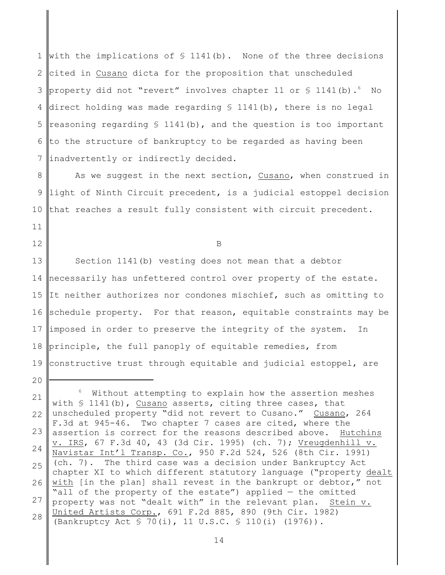1 2 3 4 5 6 7 with the implications of  $\frac{1141}{b}$ . None of the three decisions cited in Cusano dicta for the proposition that unscheduled property did not "revert" involves chapter 11 or  $\S$  1141(b).  $\delta$  No direct holding was made regarding § 1141(b), there is no legal reasoning regarding  $\S$  1141(b), and the question is too important to the structure of bankruptcy to be regarded as having been inadvertently or indirectly decided.

8 9 10 As we suggest in the next section, Cusano, when construed in light of Ninth Circuit precedent, is a judicial estoppel decision that reaches a result fully consistent with circuit precedent.

B

11

12

20

13 14 15 16 17 18 19 Section 1141(b) vesting does not mean that a debtor necessarily has unfettered control over property of the estate. It neither authorizes nor condones mischief, such as omitting to schedule property. For that reason, equitable constraints may be imposed in order to preserve the integrity of the system. In principle, the full panoply of equitable remedies, from constructive trust through equitable and judicial estoppel, are

<sup>21</sup> 22 23 24 25 26 27 28  $6$  Without attempting to explain how the assertion meshes with  $\frac{1141(b)}{b}$ , Cusano asserts, citing three cases, that unscheduled property "did not revert to Cusano." Cusano, 264 F.3d at 945-46. Two chapter 7 cases are cited, where the assertion is correct for the reasons described above. Hutchins v. IRS, 67 F.3d 40, 43 (3d Cir. 1995) (ch. 7); Vreugdenhill v. Navistar Int'l Transp. Co., 950 F.2d 524, 526 (8th Cir. 1991) (ch. 7). The third case was a decision under Bankruptcy Act chapter XI to which different statutory language ("property dealt with [in the plan] shall revest in the bankrupt or debtor," not "all of the property of the estate") applied — the omitted property was not "dealt with" in the relevant plan. Stein v. United Artists Corp., 691 F.2d 885, 890 (9th Cir. 1982) (Bankruptcy Act § 70(i), 11 U.S.C. § 110(i) (1976)).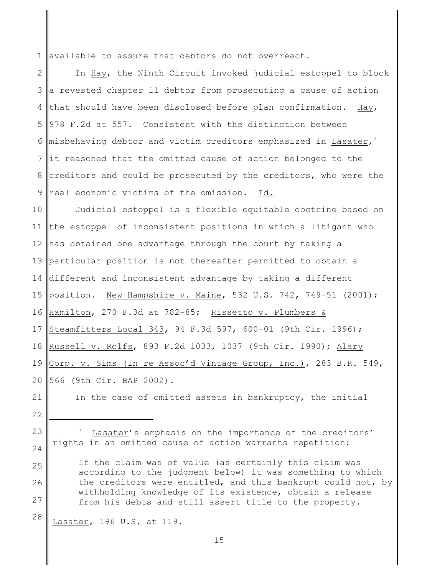1 available to assure that debtors do not overreach.

2 3 4 5 6 7 8 9 In Hay, the Ninth Circuit invoked judicial estoppel to block a revested chapter 11 debtor from prosecuting a cause of action that should have been disclosed before plan confirmation. Hay, 978 F.2d at 557. Consistent with the distinction between misbehaving debtor and victim creditors emphasized in Lasater, $^7$ it reasoned that the omitted cause of action belonged to the creditors and could be prosecuted by the creditors, who were the real economic victims of the omission. Id.

10 11 12 13 14 15 16 17 18 19 20 Judicial estoppel is a flexible equitable doctrine based on the estoppel of inconsistent positions in which a litigant who has obtained one advantage through the court by taking a particular position is not thereafter permitted to obtain a different and inconsistent advantage by taking a different position. New Hampshire v. Maine, 532 U.S. 742, 749-51 (2001); Hamilton, 270 F.3d at 782-85; Rissetto v. Plumbers & Steamfitters Local 343, 94 F.3d 597, 600-01 (9th Cir. 1996); Russell v. Rolfs, 893 F.2d 1033, 1037 (9th Cir. 1990); Alary Corp. v. Sims (In re Assoc'd Vintage Group, Inc.), 283 B.R. 549, 566 (9th Cir. BAP 2002).

21

In the case of omitted assets in bankruptcy, the initial

22

25

26

27

23 24 Lasater's emphasis on the importance of the creditors' rights in an omitted cause of action warrants repetition:

If the claim was of value (as certainly this claim was according to the judgment below) it was something to which the creditors were entitled, and this bankrupt could not, by withholding knowledge of its existence, obtain a release from his debts and still assert title to the property.

28 Lasater, 196 U.S. at 119.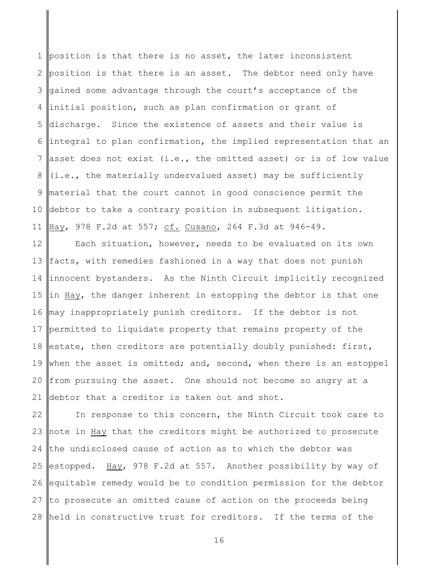1 2 3 4 5 6 7 8 9 10 11 position is that there is no asset, the later inconsistent position is that there is an asset. The debtor need only have gained some advantage through the court's acceptance of the initial position, such as plan confirmation or grant of discharge. Since the existence of assets and their value is integral to plan confirmation, the implied representation that an asset does not exist (i.e., the omitted asset) or is of low value (i.e., the materially undervalued asset) may be sufficiently material that the court cannot in good conscience permit the debtor to take a contrary position in subsequent litigation. Hay, 978 F.2d at 557; cf. Cusano, 264 F.3d at 946-49.

12 13 14 15 16 17 18 19 20 21 Each situation, however, needs to be evaluated on its own facts, with remedies fashioned in a way that does not punish innocent bystanders. As the Ninth Circuit implicitly recognized in Hay, the danger inherent in estopping the debtor is that one may inappropriately punish creditors. If the debtor is not permitted to liquidate property that remains property of the estate, then creditors are potentially doubly punished: first, when the asset is omitted; and, second, when there is an estoppel from pursuing the asset. One should not become so angry at a debtor that a creditor is taken out and shot.

22 23 24 25 26 27 28 In response to this concern, the Ninth Circuit took care to note in Hay that the creditors might be authorized to prosecute the undisclosed cause of action as to which the debtor was estopped. Hay, 978 F.2d at 557. Another possibility by way of equitable remedy would be to condition permission for the debtor to prosecute an omitted cause of action on the proceeds being held in constructive trust for creditors. If the terms of the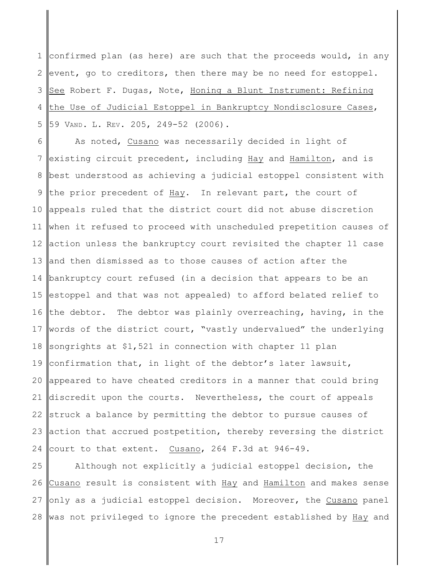1 2 3 4 5 confirmed plan (as here) are such that the proceeds would, in any event, go to creditors, then there may be no need for estoppel. See Robert F. Dugas, Note, Honing a Blunt Instrument: Refining the Use of Judicial Estoppel in Bankruptcy Nondisclosure Cases, 59 VAND. L. REV. 205, 249-52 (2006).

6 7 8 9 10 11 12 13 14 15 16 17 18 19 20 21 22 23 24 As noted, Cusano was necessarily decided in light of existing circuit precedent, including Hay and Hamilton, and is best understood as achieving a judicial estoppel consistent with the prior precedent of Hay. In relevant part, the court of appeals ruled that the district court did not abuse discretion when it refused to proceed with unscheduled prepetition causes of action unless the bankruptcy court revisited the chapter 11 case and then dismissed as to those causes of action after the bankruptcy court refused (in a decision that appears to be an estoppel and that was not appealed) to afford belated relief to the debtor. The debtor was plainly overreaching, having, in the words of the district court, "vastly undervalued" the underlying songrights at \$1,521 in connection with chapter 11 plan confirmation that, in light of the debtor's later lawsuit, appeared to have cheated creditors in a manner that could bring discredit upon the courts. Nevertheless, the court of appeals struck a balance by permitting the debtor to pursue causes of action that accrued postpetition, thereby reversing the district court to that extent. Cusano, 264 F.3d at 946-49.

25 26 27 28 Although not explicitly a judicial estoppel decision, the Cusano result is consistent with Hay and Hamilton and makes sense only as a judicial estoppel decision. Moreover, the Cusano panel was not privileged to ignore the precedent established by Hay and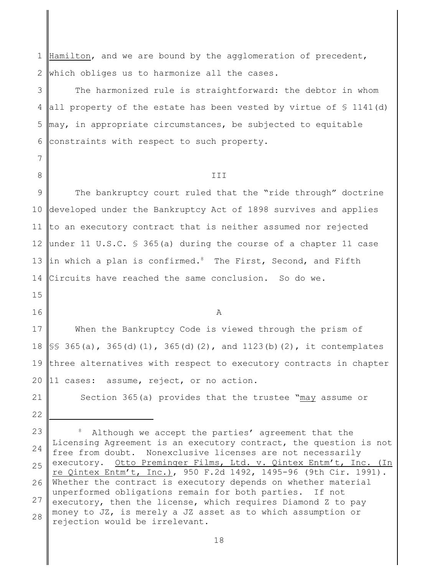1 2 Hamilton, and we are bound by the agglomeration of precedent, which obliges us to harmonize all the cases.

3 4 5 6 The harmonized rule is straightforward: the debtor in whom all property of the estate has been vested by virtue of  $\frac{1}{2}$  1141(d)  $\parallel$ may, in appropriate circumstances, be subjected to equitable constraints with respect to such property.

III

9 10 11 12 13 14 The bankruptcy court ruled that the "ride through" doctrine developed under the Bankruptcy Act of 1898 survives and applies to an executory contract that is neither assumed nor rejected under 11 U.S.C.  $\frac{1}{5}$  365(a) during the course of a chapter 11 case in which a plan is confirmed.<sup>8</sup> The First, Second, and Fifth Circuits have reached the same conclusion. So do we.

15

7

8

16

A

17 18 19 20 When the Bankruptcy Code is viewed through the prism of  $\S$ § 365(a), 365(d)(1), 365(d)(2), and 1123(b)(2), it contemplates three alternatives with respect to executory contracts in chapter 11 cases: assume, reject, or no action.

21

Section 365(a) provides that the trustee "may assume or

23 24 25 26 27 28  $8$  Although we accept the parties' agreement that the Licensing Agreement is an executory contract, the question is not free from doubt. Nonexclusive licenses are not necessarily executory. Otto Preminger Films, Ltd. v. Qintex Entm't, Inc. (In re Qintex Entm't, Inc.), 950 F.2d 1492, 1495-96 (9th Cir. 1991). Whether the contract is executory depends on whether material unperformed obligations remain for both parties. If not executory, then the license, which requires Diamond Z to pay money to JZ, is merely a JZ asset as to which assumption or rejection would be irrelevant.

<sup>22</sup>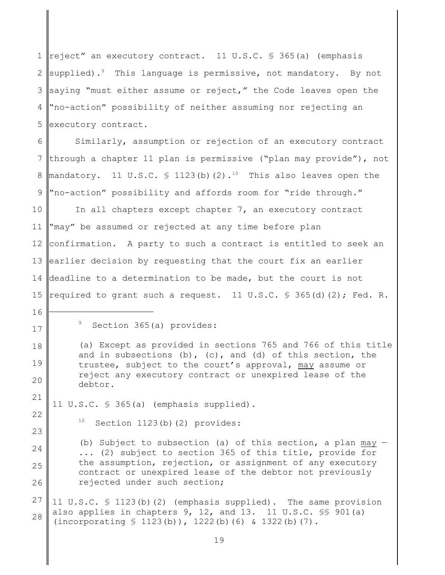1 reject" an executory contract. 11 U.S.C. § 365(a) (emphasis 2 3 4 5 supplied).<sup>9</sup> This language is permissive, not mandatory. By not saying "must either assume or reject," the Code leaves open the "no-action" possibility of neither assuming nor rejecting an executory contract.

6 7 8 9 Similarly, assumption or rejection of an executory contract through a chapter 11 plan is permissive ("plan may provide"), not mandatory. 11 U.S.C.  $\frac{1}{2}$  1123(b)(2).<sup>10</sup> This also leaves open the "no-action" possibility and affords room for "ride through."

10 11 12 13 14 15 In all chapters except chapter 7, an executory contract "may" be assumed or rejected at any time before plan confirmation. A party to such a contract is entitled to seek an earlier decision by requesting that the court fix an earlier deadline to a determination to be made, but the court is not required to grant such a request. 11 U.S.C.  $\frac{1}{5}$  365(d)(2); Fed. R.

16

17

18

19

20

22

23

24

25

26

(a) Except as provided in sections 765 and 766 of this title and in subsections (b), (c), and (d) of this section, the trustee, subject to the court's approval, may assume or reject any executory contract or unexpired lease of the debtor.

21 11 U.S.C. § 365(a) (emphasis supplied).

 $10$  Section 1123(b)(2) provides:

(b) Subject to subsection (a) of this section, a plan may  $\cdot$ ... (2) subject to section 365 of this title, provide for the assumption, rejection, or assignment of any executory contract or unexpired lease of the debtor not previously rejected under such section;

27 28 11 U.S.C. § 1123(b)(2) (emphasis supplied). The same provision also applies in chapters 9, 12, and 13. 11 U.S.C. §§ 901(a) (incorporating § 1123(b)), 1222(b)(6) & 1322(b)(7).

 $9$  Section 365(a) provides: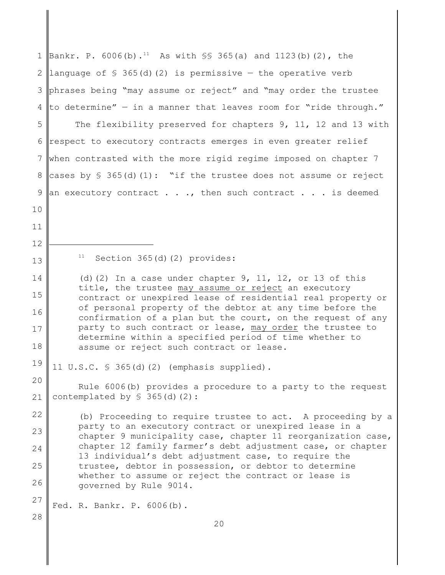| $\mathbf 1$    | Bankr. P. 6006(b). <sup>11</sup> As with $\frac{1}{5}$ 365(a) and 1123(b)(2), the                                        |
|----------------|--------------------------------------------------------------------------------------------------------------------------|
| $\mathbf{2}$   | language of $\frac{1}{5}$ 365(d)(2) is permissive - the operative verb                                                   |
| 3              | phrases being "may assume or reject" and "may order the trustee                                                          |
| $\overline{4}$ | to determine" - in a manner that leaves room for "ride through."                                                         |
| 5              | The flexibility preserved for chapters 9, 11, 12 and 13 with                                                             |
| 6              | respect to executory contracts emerges in even greater relief                                                            |
| 7              | when contrasted with the more rigid regime imposed on chapter 7                                                          |
| $\,8\,$        | cases by $\S$ 365(d)(1): "if the trustee does not assume or reject                                                       |
| $\mathcal{G}$  | an executory contract $\ldots$ , then such contract $\ldots$ is deemed                                                   |
| 10             |                                                                                                                          |
| 11             |                                                                                                                          |
| 12             |                                                                                                                          |
| 13             | 11<br>Section 365(d)(2) provides:                                                                                        |
| 14             | (d) $(2)$ In a case under chapter 9, 11, 12, or 13 of this<br>title, the trustee may assume or reject an executory       |
| 15             | contract or unexpired lease of residential real property or                                                              |
| 16             | of personal property of the debtor at any time before the<br>confirmation of a plan but the court, on the request of any |
| 17             | party to such contract or lease, may order the trustee to<br>determine within a specified period of time whether to      |
| 18             | assume or reject such contract or lease.                                                                                 |
| 19             | 11 $U.S.C. \$ 365(d) (2)$ (emphasis supplied).                                                                           |
| 20             | Rule 6006(b) provides a procedure to a party to the request                                                              |
| 21             | contemplated by $$365(d)(2)$ :                                                                                           |
| 22             | (b) Proceeding to require trustee to act. A proceeding by a<br>party to an executory contract or unexpired lease in a    |
| 23             | chapter 9 municipality case, chapter 11 reorganization case,                                                             |
| 24             | chapter 12 family farmer's debt adjustment case, or chapter<br>13 individual's debt adjustment case, to require the      |
| 25             | trustee, debtor in possession, or debtor to determine<br>whether to assume or reject the contract or lease is            |
| 26             | governed by Rule 9014.                                                                                                   |
| 27             | Fed. R. Bankr. P. 6006(b).                                                                                               |
| 28             | 20                                                                                                                       |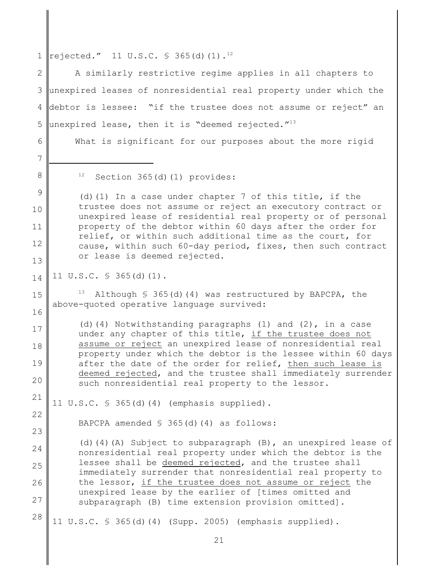1  $\lVert$ rejected." 11 U.S.C. § 365(d)(1).<sup>12</sup>

2 3 4 5 A similarly restrictive regime applies in all chapters to unexpired leases of nonresidential real property under which the debtor is lessee: "if the trustee does not assume or reject" an unexpired lease, then it is "deemed rejected."<sup>13</sup>

What is significant for our purposes about the more rigid

7

8

15

16

17

18

19

20

22

23

24

25

26

27

6

 $12$  Section 365(d)(1) provides:

9 10 11 12 13 (d)(1) In a case under chapter 7 of this title, if the trustee does not assume or reject an executory contract or unexpired lease of residential real property or of personal property of the debtor within 60 days after the order for relief, or within such additional time as the court, for cause, within such 60-day period, fixes, then such contract or lease is deemed rejected.

14 11 U.S.C. § 365(d)(1).

> <sup>13</sup> Although § 365(d)(4) was restructured by BAPCPA, the above-quoted operative language survived:

(d)(4) Notwithstanding paragraphs (1) and  $(2)$ , in a case under any chapter of this title, if the trustee does not assume or reject an unexpired lease of nonresidential real property under which the debtor is the lessee within 60 days after the date of the order for relief, then such lease is deemed rejected, and the trustee shall immediately surrender such nonresidential real property to the lessor.

21 11 U.S.C. § 365(d)(4) (emphasis supplied).

BAPCPA amended  $$ 365(d) (4)$  as follows:

(d)(4)(A) Subject to subparagraph  $(B)$ , an unexpired lease of nonresidential real property under which the debtor is the lessee shall be deemed rejected, and the trustee shall immediately surrender that nonresidential real property to the lessor, if the trustee does not assume or reject the unexpired lease by the earlier of [times omitted and subparagraph (B) time extension provision omitted].

28 11 U.S.C. § 365(d)(4) (Supp. 2005) (emphasis supplied).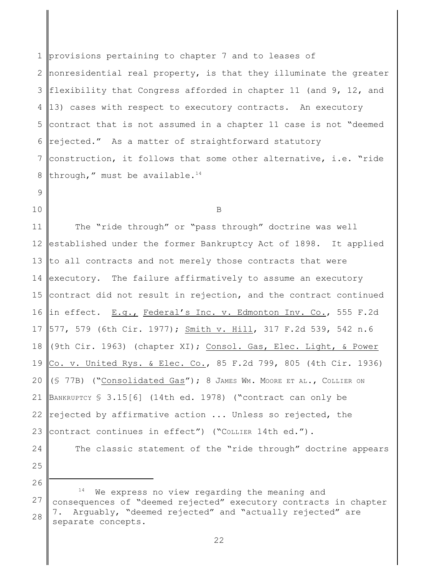1 2 3 4 5 6 7 8 provisions pertaining to chapter 7 and to leases of nonresidential real property, is that they illuminate the greater flexibility that Congress afforded in chapter 11 (and 9, 12, and 13) cases with respect to executory contracts. An executory contract that is not assumed in a chapter 11 case is not "deemed rejected." As a matter of straightforward statutory construction, it follows that some other alternative, i.e. "ride through," must be available. $14$ 

## 9 10

B

11 12 13 14 15 16 17 18 19 20 21 22 23 The "ride through" or "pass through" doctrine was well established under the former Bankruptcy Act of 1898. It applied to all contracts and not merely those contracts that were executory. The failure affirmatively to assume an executory contract did not result in rejection, and the contract continued in effect. E.g., Federal's Inc. v. Edmonton Inv. Co., 555 F.2d 577, 579 (6th Cir. 1977); Smith v. Hill, 317 F.2d 539, 542 n.6 (9th Cir. 1963) (chapter XI); Consol. Gas, Elec. Light, & Power Co. v. United Rys. & Elec. Co., 85 F.2d 799, 805 (4th Cir. 1936) (§ 77B) ("Consolidated Gas"); 8 JAMES WM. MOORE ET AL., COLLIER ON BANKRUPTCY § 3.15[6] (14th ed. 1978) ("contract can only be rejected by affirmative action ... Unless so rejected, the contract continues in effect") ("COLLIER 14th ed.").

24

25

26

27

28

The classic statement of the "ride through" doctrine appears

 $14$  We express no view regarding the meaning and consequences of "deemed rejected" executory contracts in chapter 7. Arguably, "deemed rejected" and "actually rejected" are separate concepts.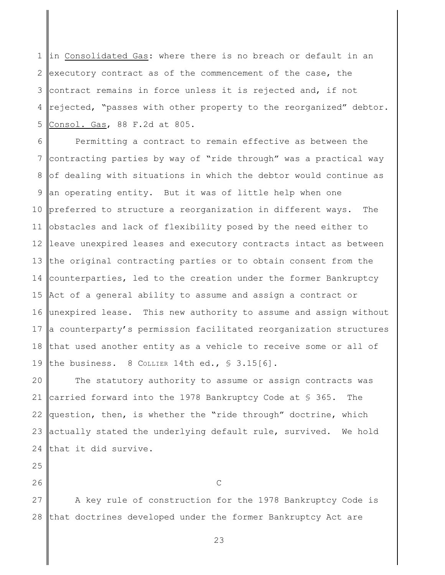1 2 3 4 5 in Consolidated Gas: where there is no breach or default in an executory contract as of the commencement of the case, the contract remains in force unless it is rejected and, if not rejected, "passes with other property to the reorganized" debtor. Consol. Gas, 88 F.2d at 805.

6 7 8 9 10 11 12 13 14 15 16 17 18 19 Permitting a contract to remain effective as between the contracting parties by way of "ride through" was a practical way of dealing with situations in which the debtor would continue as an operating entity. But it was of little help when one preferred to structure a reorganization in different ways. The obstacles and lack of flexibility posed by the need either to leave unexpired leases and executory contracts intact as between the original contracting parties or to obtain consent from the counterparties, led to the creation under the former Bankruptcy Act of a general ability to assume and assign a contract or unexpired lease. This new authority to assume and assign without a counterparty's permission facilitated reorganization structures that used another entity as a vehicle to receive some or all of the business. 8 COLLIER 14th ed., § 3.15[6].

20 21 22 23 24 The statutory authority to assume or assign contracts was carried forward into the 1978 Bankruptcy Code at § 365. The question, then, is whether the "ride through" doctrine, which actually stated the underlying default rule, survived. We hold that it did survive.

25

26

C

27 28 A key rule of construction for the 1978 Bankruptcy Code is that doctrines developed under the former Bankruptcy Act are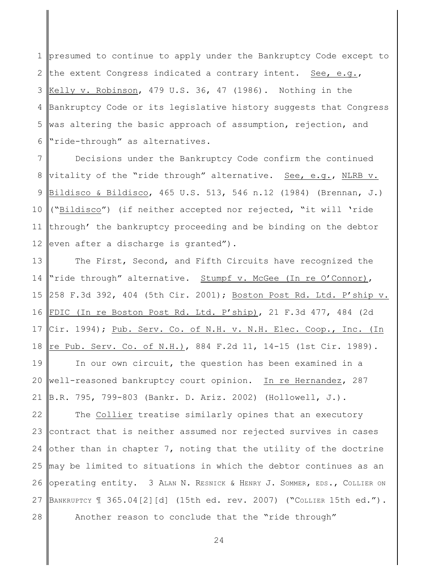1 2 3 4 5 6 presumed to continue to apply under the Bankruptcy Code except to the extent Congress indicated a contrary intent. See, e.g., Kelly v. Robinson, 479 U.S. 36, 47 (1986). Nothing in the Bankruptcy Code or its legislative history suggests that Congress was altering the basic approach of assumption, rejection, and "ride-through" as alternatives.

7 8 9 10 11 12 Decisions under the Bankruptcy Code confirm the continued vitality of the "ride through" alternative. See, e.g., NLRB v. Bildisco & Bildisco, 465 U.S. 513, 546 n.12 (1984) (Brennan, J.) ("Bildisco") (if neither accepted nor rejected, "it will 'ride through' the bankruptcy proceeding and be binding on the debtor even after a discharge is granted").

13 14 15 16 17 18 The First, Second, and Fifth Circuits have recognized the "ride through" alternative. Stumpf v. McGee (In re O'Connor), 258 F.3d 392, 404 (5th Cir. 2001); Boston Post Rd. Ltd. P'ship v. FDIC (In re Boston Post Rd. Ltd. P'ship), 21 F.3d 477, 484 (2d Cir. 1994); Pub. Serv. Co. of N.H. v. N.H. Elec. Coop., Inc. (In re Pub. Serv. Co. of N.H.), 884 F.2d 11, 14-15 (1st Cir. 1989).

19 20 21 In our own circuit, the question has been examined in a well-reasoned bankruptcy court opinion. In re Hernandez, 287 B.R. 795, 799-803 (Bankr. D. Ariz. 2002) (Hollowell, J.).

22 23 24 25 26 27 28 The Collier treatise similarly opines that an executory contract that is neither assumed nor rejected survives in cases other than in chapter 7, noting that the utility of the doctrine may be limited to situations in which the debtor continues as an operating entity. 3 ALAN N. RESNICK & HENRY J. SOMMER, EDS., COLLIER ON BANKRUPTCY ¶ 365.04[2][d] (15th ed. rev. 2007) ("COLLIER 15th ed."). Another reason to conclude that the "ride through"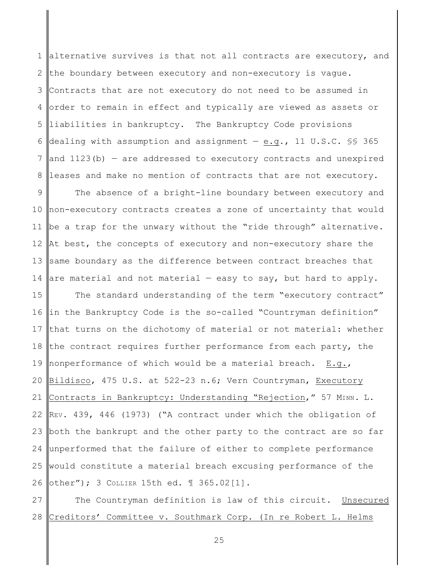1 2 3 4 5 6 7 8 alternative survives is that not all contracts are executory, and the boundary between executory and non-executory is vague. Contracts that are not executory do not need to be assumed in order to remain in effect and typically are viewed as assets or liabilities in bankruptcy. The Bankruptcy Code provisions dealing with assumption and assignment  $-$  e.g., 11 U.S.C. §§ 365 and  $1123(b)$  – are addressed to executory contracts and unexpired leases and make no mention of contracts that are not executory.

9 10 11 12 13 14 The absence of a bright-line boundary between executory and non-executory contracts creates a zone of uncertainty that would be a trap for the unwary without the "ride through" alternative. At best, the concepts of executory and non-executory share the same boundary as the difference between contract breaches that are material and not material  $-$  easy to say, but hard to apply.

15 16 17 18 19 20 21 22 23 24 25 26 The standard understanding of the term "executory contract" in the Bankruptcy Code is the so-called "Countryman definition" that turns on the dichotomy of material or not material: whether the contract requires further performance from each party, the nonperformance of which would be a material breach. E.g., Bildisco, 475 U.S. at 522-23 n.6; Vern Countryman, Executory Contracts in Bankruptcy: Understanding "Rejection," 57 MINN. L. REV. 439, 446 (1973) ("A contract under which the obligation of both the bankrupt and the other party to the contract are so far unperformed that the failure of either to complete performance would constitute a material breach excusing performance of the other"); 3 COLLIER 15th ed. ¶ 365.02[1].

27 28 The Countryman definition is law of this circuit. Unsecured Creditors' Committee v. Southmark Corp. (In re Robert L. Helms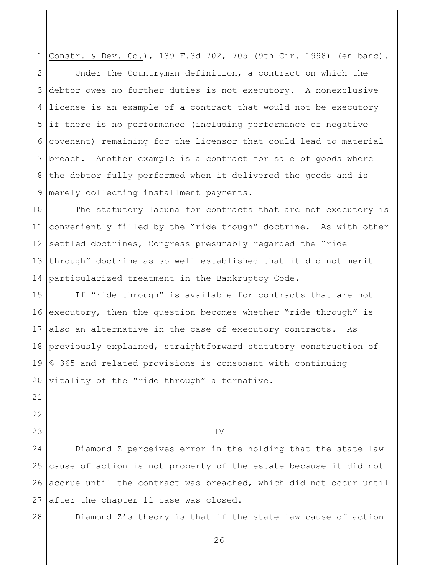1 2 3 4 5 6 7 8 9 Constr. & Dev. Co.), 139 F.3d 702, 705 (9th Cir. 1998) (en banc). Under the Countryman definition, a contract on which the debtor owes no further duties is not executory. A nonexclusive license is an example of a contract that would not be executory if there is no performance (including performance of negative covenant) remaining for the licensor that could lead to material breach. Another example is a contract for sale of goods where the debtor fully performed when it delivered the goods and is merely collecting installment payments.

10 11 12 13 14 The statutory lacuna for contracts that are not executory is conveniently filled by the "ride though" doctrine. As with other settled doctrines, Congress presumably regarded the "ride through" doctrine as so well established that it did not merit particularized treatment in the Bankruptcy Code.

15 16 17 18 19 20 If "ride through" is available for contracts that are not executory, then the question becomes whether "ride through" is also an alternative in the case of executory contracts. As previously explained, straightforward statutory construction of § 365 and related provisions is consonant with continuing vitality of the "ride through" alternative.

21

22

23

IV

24 25 26 27 Diamond Z perceives error in the holding that the state law cause of action is not property of the estate because it did not accrue until the contract was breached, which did not occur until after the chapter 11 case was closed.

28

Diamond Z's theory is that if the state law cause of action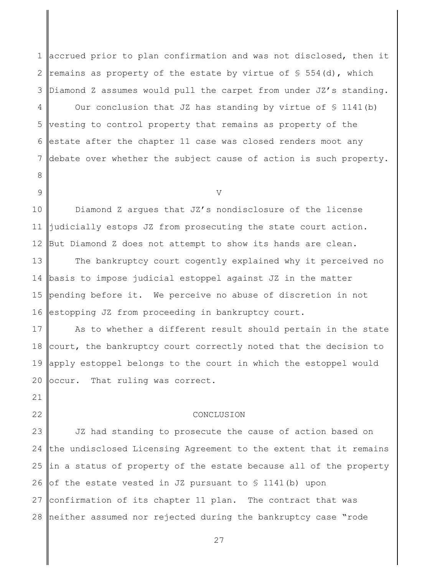1 2 3 accrued prior to plan confirmation and was not disclosed, then it remains as property of the estate by virtue of  $\frac{1}{5}$  554(d), which Diamond Z assumes would pull the carpet from under JZ's standing.

4 5 6 7 Our conclusion that JZ has standing by virtue of  $\S$  1141(b) vesting to control property that remains as property of the estate after the chapter 11 case was closed renders moot any debate over whether the subject cause of action is such property.

8 9

V

10 11 12 Diamond Z argues that JZ's nondisclosure of the license judicially estops JZ from prosecuting the state court action. But Diamond Z does not attempt to show its hands are clean.

13 14 15 16 The bankruptcy court cogently explained why it perceived no basis to impose judicial estoppel against JZ in the matter pending before it. We perceive no abuse of discretion in not estopping JZ from proceeding in bankruptcy court.

17 18 19 20 As to whether a different result should pertain in the state court, the bankruptcy court correctly noted that the decision to apply estoppel belongs to the court in which the estoppel would occur. That ruling was correct.

21

22

## CONCLUSION

23 24 25 26 27 28 JZ had standing to prosecute the cause of action based on the undisclosed Licensing Agreement to the extent that it remains in a status of property of the estate because all of the property of the estate vested in JZ pursuant to § 1141(b) upon confirmation of its chapter 11 plan. The contract that was neither assumed nor rejected during the bankruptcy case "rode